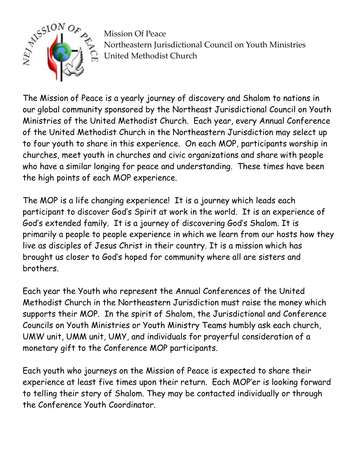

Mission Of Peace Northeastern Jurisdictional Council on Youth Ministries United Methodist Church

The Mission of Peace is a yearly journey of discovery and Shalom to nations in our global community sponsored by the Northeast Jurisdictional Council on Youth Ministries of the United Methodist Church. Each year, every Annual Conference of the United Methodist Church in the Northeastern Jurisdiction may select up to four youth to share in this experience. On each MOP, participants worship in churches, meet youth in churches and civic organizations and share with people who have a similar longing for peace and understanding. These times have been the high points of each MOP experience.

The MOP is a life changing experience! It is a journey which leads each participant to discover God's Spirit at work in the world. It is an experience of God's extended family. It is a journey of discovering God's Shalom. It is primarily a people to people experience in which we learn from our hosts how they live as disciples of Jesus Christ in their country. It is a mission which has brought us closer to God's hoped for community where all are sisters and brothers.

Each year the Youth who represent the Annual Conferences of the United Methodist Church in the Northeastern Jurisdiction must raise the money which supports their MOP. In the spirit of Shalom, the Jurisdictional and Conference Councils on Youth Ministries or Youth Ministry Teams humbly ask each church, UMW unit, UMM unit, UMY, and individuals for prayerful consideration of a monetary gift to the Conference MOP participants.

Each youth who journeys on the Mission of Peace is expected to share their experience at least five times upon their return. Each MOP'er is looking forward to telling their story of Shalom. They may be contacted individually or through the Conference Youth Coordinator.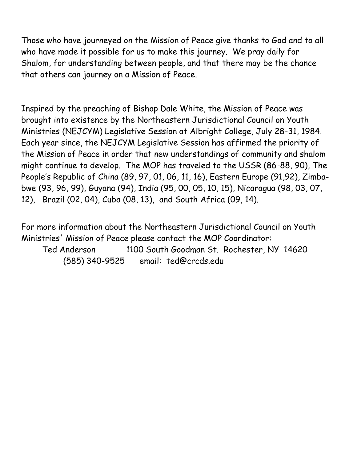Those who have journeyed on the Mission of Peace give thanks to God and to all who have made it possible for us to make this journey. We pray daily for Shalom, for understanding between people, and that there may be the chance that others can journey on a Mission of Peace.

Inspired by the preaching of Bishop Dale White, the Mission of Peace was brought into existence by the Northeastern Jurisdictional Council on Youth Ministries (NEJCYM) Legislative Session at Albright College, July 28-31, 1984. Each year since, the NEJCYM Legislative Session has affirmed the priority of the Mission of Peace in order that new understandings of community and shalom might continue to develop. The MOP has traveled to the USSR (86-88, 90), The People's Republic of China (89, 97, 01, 06, 11, 16), Eastern Europe (91,92), Zimbabwe (93, 96, 99), Guyana (94), India (95, 00, 05, 10, 15), Nicaragua (98, 03, 07, 12), Brazil (02, 04), Cuba (08, 13), and South Africa (09, 14).

For more information about the Northeastern Jurisdictional Council on Youth Ministries' Mission of Peace please contact the MOP Coordinator: Ted Anderson 1100 South Goodman St. Rochester, NY 14620 (585) 340-9525 email: ted@crcds.edu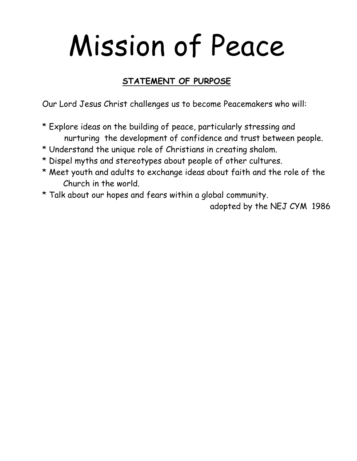## Mission of Peace

## **STATEMENT OF PURPOSE**

Our Lord Jesus Christ challenges us to become Peacemakers who will:

- \* Explore ideas on the building of peace, particularly stressing and nurturing the development of confidence and trust between people.
- \* Understand the unique role of Christians in creating shalom.
- \* Dispel myths and stereotypes about people of other cultures.
- \* Meet youth and adults to exchange ideas about faith and the role of the Church in the world.
- \* Talk about our hopes and fears within a global community.

adopted by the NEJ CYM 1986